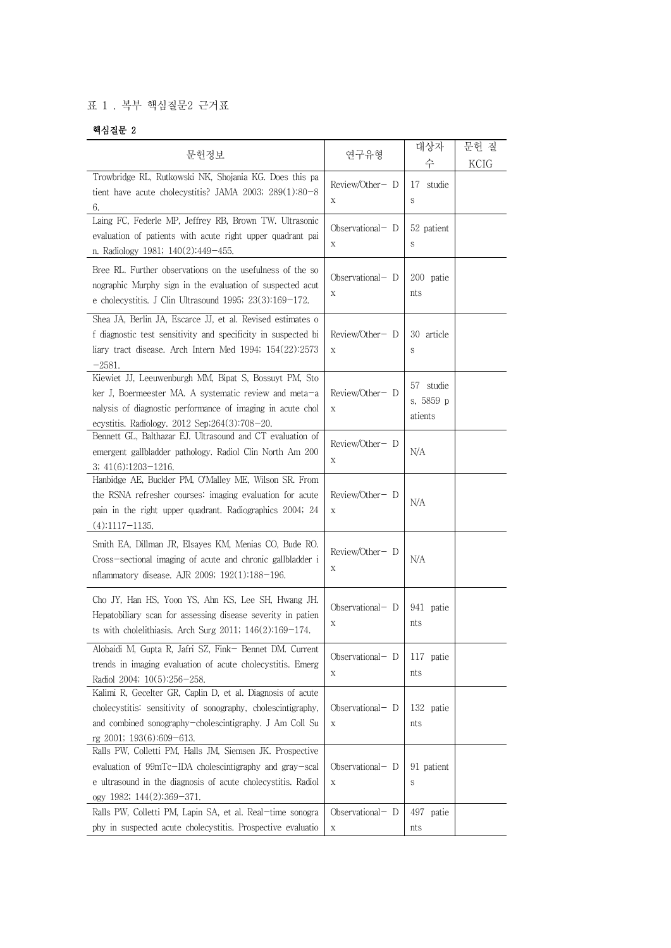## 표 1 . 복부 핵심질문2 근거표

## 핵심질문 2

|                                                                                                                                                                                                                                 |                                    | 대상자                               | 문헌 질 |
|---------------------------------------------------------------------------------------------------------------------------------------------------------------------------------------------------------------------------------|------------------------------------|-----------------------------------|------|
| 문헌정보                                                                                                                                                                                                                            | 연구유형                               | 수                                 | KCIG |
| Trowbridge RL, Rutkowski NK, Shojania KG. Does this pa<br>tient have acute cholecystitis? JAMA 2003; $289(1):80-8$<br>6.                                                                                                        | Review/Other- D<br>$\mathbf X$     | 17<br>studie<br>S                 |      |
| Laing FC, Federle MP, Jeffrey RB, Brown TW. Ultrasonic<br>evaluation of patients with acute right upper quadrant pai<br>n. Radiology 1981; 140(2):449-455.                                                                      | Observational $-$ D<br>$\mathbf X$ | 52 patient<br>S                   |      |
| Bree RL. Further observations on the usefulness of the so<br>nographic Murphy sign in the evaluation of suspected acut<br>e cholecystitis. J Clin Ultrasound 1995; $23(3):169-172$ .                                            | Observational- D<br>Χ              | 200 patie<br>nts                  |      |
| Shea JA, Berlin JA, Escarce JJ, et al. Revised estimates o<br>f diagnostic test sensitivity and specificity in suspected bi<br>liary tract disease. Arch Intern Med 1994; 154(22):2573<br>$-2581.$                              | Review/Other- D<br>$\mathbf X$     | 30 article<br>S                   |      |
| Kiewiet JJ, Leeuwenburgh MM, Bipat S, Bossuyt PM, Sto<br>ker J, Boermeester MA. A systematic review and meta-a<br>nalysis of diagnostic performance of imaging in acute chol<br>ecystitis. Radiology. 2012 Sep; 264(3): 708-20. | Review/Other-D<br>$\mathbf X$      | 57 studie<br>s, 5859 p<br>atients |      |
| Bennett GL, Balthazar EJ. Ultrasound and CT evaluation of<br>emergent gallbladder pathology. Radiol Clin North Am 200<br>$3; 41(6):1203-1216.$                                                                                  | Review/Other- D<br>X               | N/A                               |      |
| Hanbidge AE, Buckler PM, O'Malley ME, Wilson SR. From<br>the RSNA refresher courses: imaging evaluation for acute<br>pain in the right upper quadrant. Radiographics 2004; 24<br>$(4):1117-1135.$                               | Review/Other- D<br>$\mathbf X$     | N/A                               |      |
| Smith EA, Dillman JR, Elsayes KM, Menias CO, Bude RO.<br>Cross-sectional imaging of acute and chronic gallbladder i<br>nflammatory disease. AJR 2009; 192(1):188-196.                                                           | Review/Other- D<br>Χ               | N/A                               |      |
| Cho JY, Han HS, Yoon YS, Ahn KS, Lee SH, Hwang JH.<br>Hepatobiliary scan for assessing disease severity in patien<br>ts with cholelithiasis. Arch Surg 2011; $146(2):169-174$ .                                                 | Observational- D<br>Χ              | 941 patie<br>nts                  |      |
| Alobaidi M, Gupta R, Jafri SZ, Fink- Bennet DM. Current<br>trends in imaging evaluation of acute cholecystitis. Emerg<br>Radiol 2004; 10(5):256-258.                                                                            | Observational – D<br>Χ             | 117 patie<br>nts                  |      |
| Kalimi R, Gecelter GR, Caplin D, et al. Diagnosis of acute<br>cholecystitis: sensitivity of sonography, cholescintigraphy,<br>and combined sonography-cholescintigraphy. J Am Coll Su<br>rg 2001; 193(6):609-613.               | Observational- D<br>Χ              | 132 patie<br>nts                  |      |
| Ralls PW, Colletti PM, Halls JM, Siemsen JK. Prospective<br>evaluation of 99mTc-IDA cholescintigraphy and gray-scal<br>e ultrasound in the diagnosis of acute cholecystitis. Radiol<br>ogy 1982; 144(2):369-371.                | Observational $-$ D<br>$\mathbf X$ | 91 patient<br>S                   |      |
| Ralls PW, Colletti PM, Lapin SA, et al. Real-time sonogra<br>phy in suspected acute cholecystitis. Prospective evaluatio                                                                                                        | Observational $-$ D<br>X           | 497 patie<br>nts                  |      |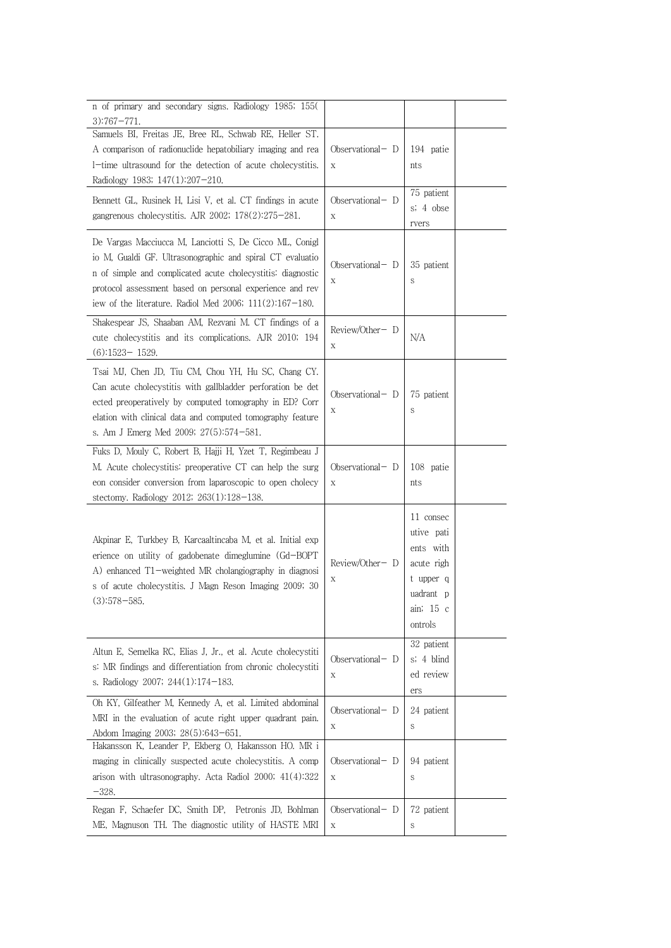| n of primary and secondary signs. Radiology 1985; 155(<br>$3)$ :767-771.                                                                                                                                                                                                                                                                       |                                                |                                                                                                      |  |
|------------------------------------------------------------------------------------------------------------------------------------------------------------------------------------------------------------------------------------------------------------------------------------------------------------------------------------------------|------------------------------------------------|------------------------------------------------------------------------------------------------------|--|
| Samuels BI, Freitas JE, Bree RL, Schwab RE, Heller ST.<br>A comparison of radionuclide hepatobiliary imaging and rea<br>1-time ultrasound for the detection of acute cholecystitis.<br>Radiology 1983; 147(1):207-210.<br>Bennett GL, Rusinek H, Lisi V, et al. CT findings in acute<br>gangrenous cholecystitis. AJR 2002; $178(2):275-281$ . | Observational- D<br>X<br>Observational- D<br>X | 194 patie<br>nts<br>75 patient<br>s; 4 obse                                                          |  |
| De Vargas Macciucca M, Lanciotti S, De Cicco ML, Conigl<br>io M, Gualdi GF. Ultrasonographic and spiral CT evaluatio<br>in of simple and complicated acute cholecystitis: diagnostic<br>protocol assessment based on personal experience and rev<br>iew of the literature. Radiol Med 2006; $111(2):167-180$ .                                 | Observational–D<br>Χ                           | rvers<br>35 patient<br>S                                                                             |  |
| Shakespear JS, Shaaban AM, Rezvani M. CT findings of a<br>cute cholecystitis and its complications. AJR 2010; 194<br>$(6):1523 - 1529.$                                                                                                                                                                                                        | Review/Other-D<br>Χ                            | N/A                                                                                                  |  |
| Tsai MJ, Chen JD, Tiu CM, Chou YH, Hu SC, Chang CY.<br>Can acute cholecystitis with gallbladder perforation be det<br>ected preoperatively by computed tomography in ED? Corr<br>elation with clinical data and computed tomography feature<br>s. Am J Emerg Med 2009; 27(5):574-581.                                                          | Observational- D<br>X                          | 75 patient<br>S                                                                                      |  |
| Fuks D, Mouly C, Robert B, Hajji H, Yzet T, Regimbeau J<br>M. Acute cholecystitis: preoperative CT can help the surg<br>eon consider conversion from laparoscopic to open cholecy<br>stectomy. Radiology 2012; 263(1):128-138.                                                                                                                 | Observational- D<br>X                          | 108 patie<br>nts                                                                                     |  |
| Akpinar E, Turkbey B, Karcaaltincaba M, et al. Initial exp<br>erience on utility of gadobenate dimeglumine (Gd-BOPT<br>A) enhanced T1-weighted MR cholangiography in diagnosi<br>s of acute cholecystitis. J Magn Reson Imaging 2009; 30<br>$(3):578 - 585.$                                                                                   | Review/Other-D<br>Х                            | 11 consec<br>utive pati<br>ents with<br>acute righ<br>t upper q<br>uadrant p<br>ain; 15 c<br>ontrols |  |
| Altun E, Semelka RC, Elias J, Jr., et al. Acute cholecystiti<br>s: MR findings and differentiation from chronic cholecystiti<br>s. Radiology 2007; 244(1):174-183.                                                                                                                                                                             | Observational – D<br>Χ                         | 32 patient<br>s; 4 blind<br>ed review<br>ers                                                         |  |
| Oh KY, Gilfeather M, Kennedy A, et al. Limited abdominal<br>MRI in the evaluation of acute right upper quadrant pain.<br>Abdom Imaging 2003; 28(5):643-651.                                                                                                                                                                                    | Observational- D<br>Χ                          | 24 patient<br>S                                                                                      |  |
| Hakansson K, Leander P, Ekberg O, Hakansson HO. MR i<br>maging in clinically suspected acute cholecystitis. A comp<br>arison with ultrasonography. Acta Radiol 2000; 41(4):322<br>$-328.$                                                                                                                                                      | Observational- D<br>X                          | 94 patient<br>S                                                                                      |  |
| Regan F, Schaefer DC, Smith DP, Petronis JD, Bohlman<br>ME, Magnuson TH. The diagnostic utility of HASTE MRI                                                                                                                                                                                                                                   | Observational- D<br>X                          | 72 patient<br>S                                                                                      |  |